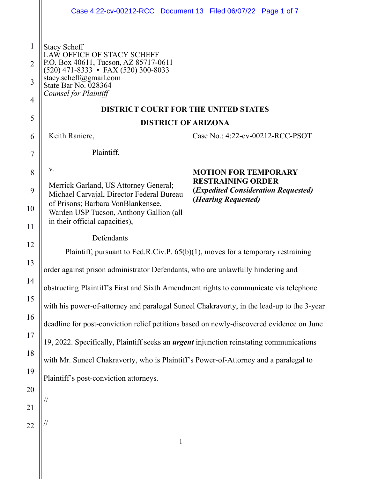|                | Case 4:22-cv-00212-RCC Document 13 Filed 06/07/22 Page 1 of 7                                                                                                                                                                                                 |                                                                                                 |  |
|----------------|---------------------------------------------------------------------------------------------------------------------------------------------------------------------------------------------------------------------------------------------------------------|-------------------------------------------------------------------------------------------------|--|
|                |                                                                                                                                                                                                                                                               |                                                                                                 |  |
| $\mathbf{1}$   | <b>Stacy Scheff</b><br>LAW OFFICE OF STACY SCHEFF<br>P.O. Box 40611, Tucson, AZ 85717-0611<br>$(520)$ 471-8333 • FAX (520) 300-8033<br>stacy.scheff@gmail.com<br>State Bar No. 028364<br>Counsel for Plaintiff<br><b>DISTRICT COURT FOR THE UNITED STATES</b> |                                                                                                 |  |
| $\overline{2}$ |                                                                                                                                                                                                                                                               |                                                                                                 |  |
| 3              |                                                                                                                                                                                                                                                               |                                                                                                 |  |
| $\overline{4}$ |                                                                                                                                                                                                                                                               |                                                                                                 |  |
| 5              |                                                                                                                                                                                                                                                               |                                                                                                 |  |
|                | <b>DISTRICT OF ARIZONA</b>                                                                                                                                                                                                                                    |                                                                                                 |  |
| 6              | Keith Raniere,                                                                                                                                                                                                                                                | Case No.: 4:22-cv-00212-RCC-PSOT                                                                |  |
| 7              | Plaintiff,                                                                                                                                                                                                                                                    |                                                                                                 |  |
| 8              | V.                                                                                                                                                                                                                                                            | <b>MOTION FOR TEMPORARY</b>                                                                     |  |
| 9              | Merrick Garland, US Attorney General;<br>Michael Carvajal, Director Federal Bureau                                                                                                                                                                            | <b>RESTRAINING ORDER</b><br>( <i>Expedited Consideration Requested</i> )<br>(Hearing Requested) |  |
| 10             | of Prisons; Barbara VonBlankensee,<br>Warden USP Tucson, Anthony Gallion (all<br>in their official capacities),                                                                                                                                               |                                                                                                 |  |
| 11             | Defendants                                                                                                                                                                                                                                                    |                                                                                                 |  |
| 12             | Plaintiff, pursuant to Fed.R.Civ.P. 65(b)(1), moves for a temporary restraining                                                                                                                                                                               |                                                                                                 |  |
| 13             | order against prison administrator Defendants, who are unlawfully hindering and                                                                                                                                                                               |                                                                                                 |  |
| 14             | obstructing Plaintiff's First and Sixth Amendment rights to communicate via telephone                                                                                                                                                                         |                                                                                                 |  |
| 15             | with his power-of-attorney and paralegal Suneel Chakravorty, in the lead-up to the 3-year                                                                                                                                                                     |                                                                                                 |  |
| 16             | deadline for post-conviction relief petitions based on newly-discovered evidence on June                                                                                                                                                                      |                                                                                                 |  |
| 17             | 19, 2022. Specifically, Plaintiff seeks an <i>urgent</i> injunction reinstating communications                                                                                                                                                                |                                                                                                 |  |
| 18             | with Mr. Suneel Chakravorty, who is Plaintiff's Power-of-Attorney and a paralegal to                                                                                                                                                                          |                                                                                                 |  |
| 19             | Plaintiff's post-conviction attorneys.                                                                                                                                                                                                                        |                                                                                                 |  |
| 20             |                                                                                                                                                                                                                                                               |                                                                                                 |  |
| 21             |                                                                                                                                                                                                                                                               |                                                                                                 |  |
| 22             |                                                                                                                                                                                                                                                               |                                                                                                 |  |
|                | 1                                                                                                                                                                                                                                                             |                                                                                                 |  |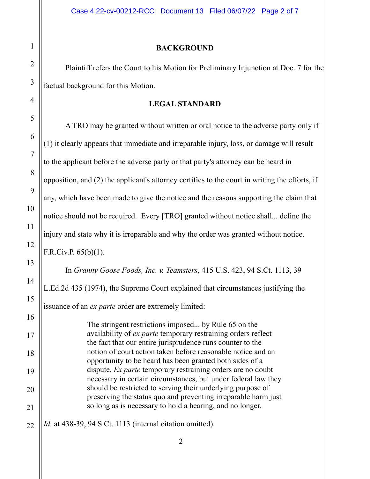### **BACKGROUND**

Plaintiff refers the Court to his Motion for Preliminary Injunction at Doc. 7 for the factual background for this Motion.

### **LEGAL STANDARD**

A TRO may be granted without written or oral notice to the adverse party only if (1) it clearly appears that immediate and irreparable injury, loss, or damage will result to the applicant before the adverse party or that party's attorney can be heard in opposition, and (2) the applicant's attorney certifies to the court in writing the efforts, if any, which have been made to give the notice and the reasons supporting the claim that notice should not be required. Every [TRO] granted without notice shall... define the injury and state why it is irreparable and why the order was granted without notice. F.R.Civ.P. 65(b)(1). In *Granny Goose Foods, Inc. v. Teamsters*, 415 U.S. 423, 94 S.Ct. 1113, 39 L.Ed.2d 435 (1974), the Supreme Court explained that circumstances justifying the issuance of an *ex parte* order are extremely limited: The stringent restrictions imposed... by Rule 65 on the availability of *ex parte* temporary restraining orders reflect the fact that our entire jurisprudence runs counter to the notion of court action taken before reasonable notice and an opportunity to be heard has been granted both sides of a dispute. *Ex parte* temporary restraining orders are no doubt necessary in certain circumstances, but under federal law they should be restricted to serving their underlying purpose of

1

2

3

4

5

6

7

8

9

10

11

12

13

14

15

16

17

18

*Id.* at 438-39, 94 S.Ct. 1113 (internal citation omitted).

preserving the status quo and preventing irreparable harm just

so long as is necessary to hold a hearing, and no longer.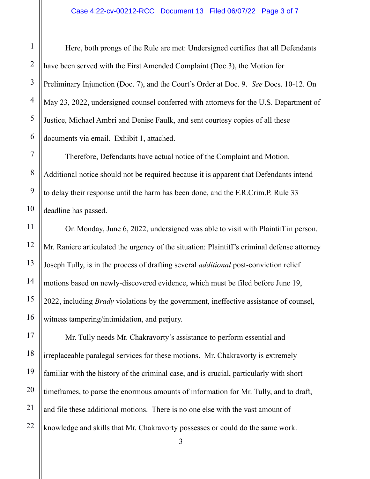Here, both prongs of the Rule are met: Undersigned certifies that all Defendants have been served with the First Amended Complaint (Doc.3), the Motion for Preliminary Injunction (Doc. 7), and the Court's Order at Doc. 9. *See* Docs. 10-12. On May 23, 2022, undersigned counsel conferred with attorneys for the U.S. Department of Justice, Michael Ambri and Denise Faulk, and sent courtesy copies of all these documents via email. Exhibit 1, attached.

Therefore, Defendants have actual notice of the Complaint and Motion. Additional notice should not be required because it is apparent that Defendants intend to delay their response until the harm has been done, and the F.R.Crim.P. Rule 33 deadline has passed.

On Monday, June 6, 2022, undersigned was able to visit with Plaintiff in person. Mr. Raniere articulated the urgency of the situation: Plaintiff's criminal defense attorney Joseph Tully, is in the process of drafting several *additional* post-conviction relief motions based on newly-discovered evidence, which must be filed before June 19, 2022, including *Brady* violations by the government, ineffective assistance of counsel, witness tampering/intimidation, and perjury.

Mr. Tully needs Mr. Chakravorty's assistance to perform essential and irreplaceable paralegal services for these motions. Mr. Chakravorty is extremely familiar with the history of the criminal case, and is crucial, particularly with short timeframes, to parse the enormous amounts of information for Mr. Tully, and to draft, and file these additional motions. There is no one else with the vast amount of knowledge and skills that Mr. Chakravorty possesses or could do the same work.

3

1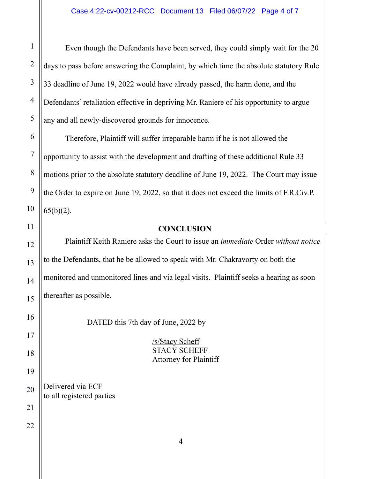Even though the Defendants have been served, they could simply wait for the 20 days to pass before answering the Complaint, by which time the absolute statutory Rule 33 deadline of June 19, 2022 would have already passed, the harm done, and the Defendants' retaliation effective in depriving Mr. Raniere of his opportunity to argue any and all newly-discovered grounds for innocence.

Therefore, Plaintiff will suffer irreparable harm if he is not allowed the opportunity to assist with the development and drafting of these additional Rule 33 motions prior to the absolute statutory deadline of June 19, 2022. The Court may issue the Order to expire on June 19, 2022, so that it does not exceed the limits of F.R.Civ.P.  $65(b)(2)$ .

### **CONCLUSION**

Plaintiff Keith Raniere asks the Court to issue an *immediate* Order *without notice* to the Defendants, that he be allowed to speak with Mr. Chakravorty on both the monitored and unmonitored lines and via legal visits. Plaintiff seeks a hearing as soon thereafter as possible.

DATED this 7th day of June, 2022 by

/s/Stacy Scheff STACY SCHEFF Attorney for Plaintiff

Delivered via ECF to all registered parties

11

12

13

1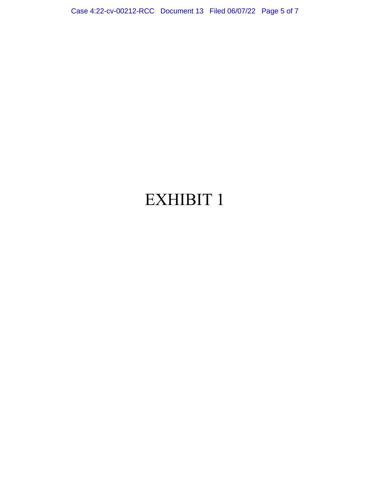Case 4:22-cv-00212-RCC Document 13 Filed 06/07/22 Page 5 of 7

# EXHIBIT 1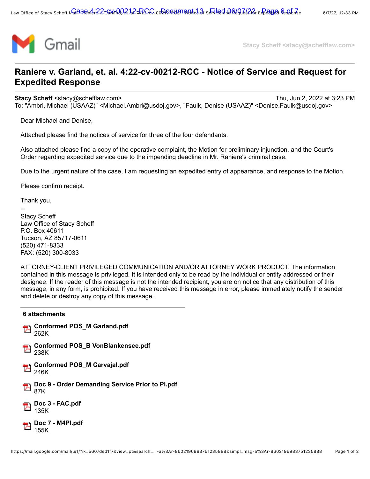

**Stacy Scheff <stacy@schefflaw.com>**

## **Raniere v. Garland, et. al. 4:22-cv-00212-RCC - Notice of Service and Request for Expedited Response**

**Stacy Scheff** <stacy@schefflaw.com> Thu, Jun 2, 2022 at 3:23 PM To: "Ambri, Michael (USAAZ)" <Michael.Ambri@usdoj.gov>, "Faulk, Denise (USAAZ)" <Denise.Faulk@usdoj.gov>

Dear Michael and Denise,

Attached please find the notices of service for three of the four defendants.

Also attached please find a copy of the operative complaint, the Motion for preliminary injunction, and the Court's Order regarding expedited service due to the impending deadline in Mr. Raniere's criminal case.

Due to the urgent nature of the case, I am requesting an expedited entry of appearance, and response to the Motion.

Please confirm receipt.

Thank you,

--

Stacy Scheff Law Office of Stacy Scheff P.O. Box 40611 Tucson, AZ 85717-0611 (520) 471-8333 FAX: (520) 300-8033

ATTORNEY-CLIENT PRIVILEGED COMMUNICATION AND/OR ATTORNEY WORK PRODUCT. The information contained in this message is privileged. It is intended only to be read by the individual or entity addressed or their designee. If the reader of this message is not the intended recipient, you are on notice that any distribution of this message, in any form, is prohibited. If you have received this message in error, please immediately notify the sender and delete or destroy any copy of this message.

| 6 attachments                                          |
|--------------------------------------------------------|
| <b>Conformed POS_M Garland.pdf</b><br>262K             |
| Conformed POS_B VonBlankensee.pdf<br>238K              |
| <b>Conformed POS_M Carvajal.pdf</b><br>246K            |
| Doc 9 - Order Demanding Service Prior to Pl.pdf<br>87K |
| <b>Doc 3 - FAC.pdf</b><br>135K                         |
| Doc 7 - M4PI.pdf                                       |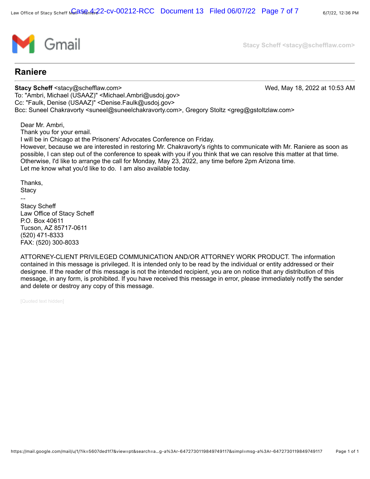

**Stacy Scheff <stacy@schefflaw.com>**

### **Raniere**

**Stacy Scheff** <stacy@schefflaw.com> Wed, May 18, 2022 at 10:53 AM To: "Ambri, Michael (USAAZ)" <Michael.Ambri@usdoj.gov> Cc: "Faulk, Denise (USAAZ)" <Denise.Faulk@usdoj.gov> Bcc: Suneel Chakravorty <suneel@suneelchakravorty.com>, Gregory Stoltz <greg@gstoltzlaw.com>

Dear Mr. Ambri,

Thank you for your email.

I will be in Chicago at the Prisoners' Advocates Conference on Friday. However, because we are interested in restoring Mr. Chakravorty's rights to communicate with Mr. Raniere as soon as possible, I can step out of the conference to speak with you if you think that we can resolve this matter at that time. Otherwise, I'd like to arrange the call for Monday, May 23, 2022, any time before 2pm Arizona time. Let me know what you'd like to do. I am also available today.

Thanks, **Stacy** 

-- Stacy Scheff Law Office of Stacy Scheff P.O. Box 40611 Tucson, AZ 85717-0611 (520) 471-8333 FAX: (520) 300-8033

ATTORNEY-CLIENT PRIVILEGED COMMUNICATION AND/OR ATTORNEY WORK PRODUCT. The information contained in this message is privileged. It is intended only to be read by the individual or entity addressed or their designee. If the reader of this message is not the intended recipient, you are on notice that any distribution of this message, in any form, is prohibited. If you have received this message in error, please immediately notify the sender and delete or destroy any copy of this message.

[Quoted text hidden]